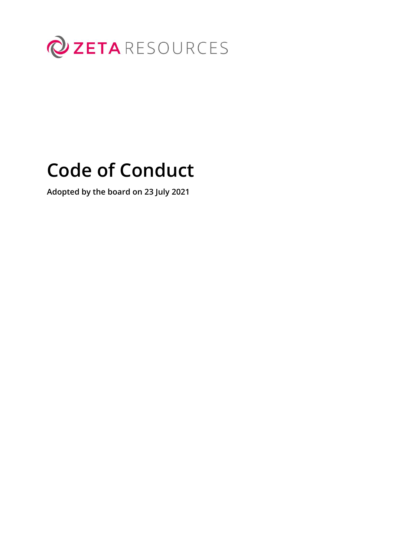

# **Code of Conduct**

**Adopted by the board on 23 July 2021**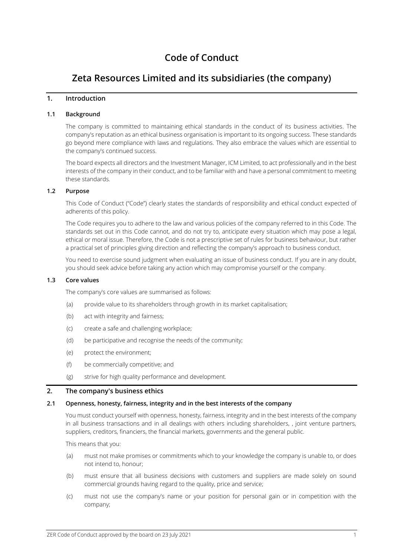# **Code of Conduct**

# **Zeta Resources Limited and its subsidiaries (the company)**

## **1. Introduction**

## **1.1 Background**

The company is committed to maintaining ethical standards in the conduct of its business activities. The company's reputation as an ethical business organisation is important to its ongoing success. These standards go beyond mere compliance with laws and regulations. They also embrace the values which are essential to the company's continued success.

The board expects all directors and the Investment Manager, ICM Limited, to act professionally and in the best interests of the company in their conduct, and to be familiar with and have a personal commitment to meeting these standards.

#### **1.2 Purpose**

This Code of Conduct ("Code") clearly states the standards of responsibility and ethical conduct expected of adherents of this policy.

The Code requires you to adhere to the law and various policies of the company referred to in this Code. The standards set out in this Code cannot, and do not try to, anticipate every situation which may pose a legal, ethical or moral issue. Therefore, the Code is not a prescriptive set of rules for business behaviour, but rather a practical set of principles giving direction and reflecting the company's approach to business conduct.

You need to exercise sound judgment when evaluating an issue of business conduct. If you are in any doubt, you should seek advice before taking any action which may compromise yourself or the company.

#### **1.3 Core values**

The company's core values are summarised as follows:

- (a) provide value to its shareholders through growth in its market capitalisation;
- (b) act with integrity and fairness;
- (c) create a safe and challenging workplace;
- (d) be participative and recognise the needs of the community;
- (e) protect the environment;
- (f) be commercially competitive; and
- (g) strive for high quality performance and development.

#### **2. The company's business ethics**

#### **2.1 Openness, honesty, fairness, integrity and in the best interests of the company**

You must conduct yourself with openness, honesty, fairness, integrity and in the best interests of the company in all business transactions and in all dealings with others including shareholders, , joint venture partners, suppliers, creditors, financiers, the financial markets, governments and the general public.

This means that you:

- (a) must not make promises or commitments which to your knowledge the company is unable to, or does not intend to, honour;
- (b) must ensure that all business decisions with customers and suppliers are made solely on sound commercial grounds having regard to the quality, price and service;
- (c) must not use the company's name or your position for personal gain or in competition with the company;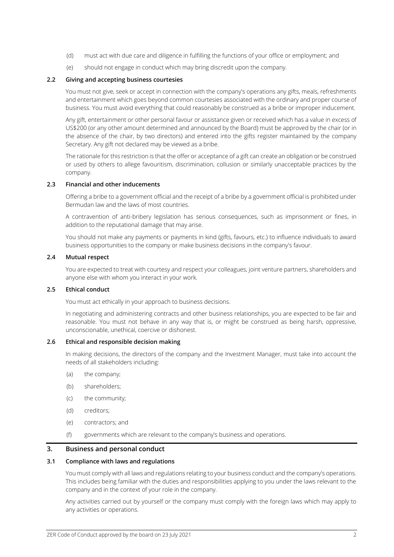- (d) must act with due care and diligence in fulfilling the functions of your office or employment; and
- (e) should not engage in conduct which may bring discredit upon the company.

#### **2.2 Giving and accepting business courtesies**

You must not give, seek or accept in connection with the company's operations any gifts, meals, refreshments and entertainment which goes beyond common courtesies associated with the ordinary and proper course of business. You must avoid everything that could reasonably be construed as a bribe or improper inducement.

Any gift, entertainment or other personal favour or assistance given or received which has a value in excess of US\$200 (or any other amount determined and announced by the Board) must be approved by the chair (or in the absence of the chair, by two directors) and entered into the gifts register maintained by the company Secretary. Any gift not declared may be viewed as a bribe.

The rationale for this restriction is that the offer or acceptance of a gift can create an obligation or be construed or used by others to allege favouritism, discrimination, collusion or similarly unacceptable practices by the company.

#### **2.3 Financial and other inducements**

Offering a bribe to a government official and the receipt of a bribe by a government official is prohibited under Bermudan law and the laws of most countries.

A contravention of anti-bribery legislation has serious consequences, such as imprisonment or fines, in addition to the reputational damage that may arise.

You should not make any payments or payments in kind (gifts, favours, etc.) to influence individuals to award business opportunities to the company or make business decisions in the company's favour.

#### **2.4 Mutual respect**

You are expected to treat with courtesy and respect your colleagues, joint venture partners, shareholders and anyone else with whom you interact in your work.

#### **2.5 Ethical conduct**

You must act ethically in your approach to business decisions.

In negotiating and administering contracts and other business relationships, you are expected to be fair and reasonable. You must not behave in any way that is, or might be construed as being harsh, oppressive, unconscionable, unethical, coercive or dishonest.

#### **2.6 Ethical and responsible decision making**

In making decisions, the directors of the company and the Investment Manager, must take into account the needs of all stakeholders including:

- (a) the company;
- (b) shareholders;
- (c) the community;
- (d) creditors;
- (e) contractors; and
- (f) governments which are relevant to the company's business and operations.

#### **3. Business and personal conduct**

#### **3.1 Compliance with laws and regulations**

You must comply with all laws and regulations relating to your business conduct and the company's operations. This includes being familiar with the duties and responsibilities applying to you under the laws relevant to the company and in the context of your role in the company.

Any activities carried out by yourself or the company must comply with the foreign laws which may apply to any activities or operations.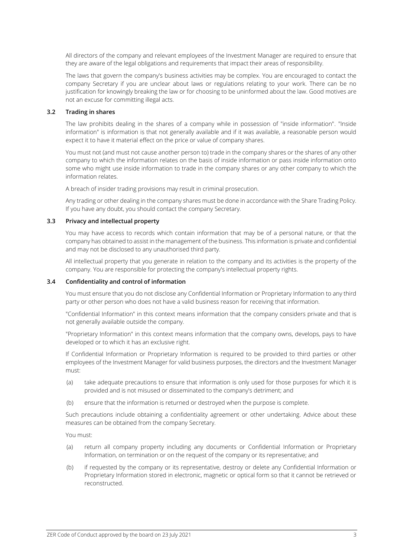All directors of the company and relevant employees of the Investment Manager are required to ensure that they are aware of the legal obligations and requirements that impact their areas of responsibility.

The laws that govern the company's business activities may be complex. You are encouraged to contact the company Secretary if you are unclear about laws or regulations relating to your work. There can be no justification for knowingly breaking the law or for choosing to be uninformed about the law. Good motives are not an excuse for committing illegal acts.

#### **3.2 Trading in shares**

The law prohibits dealing in the shares of a company while in possession of "inside information". "Inside information" is information is that not generally available and if it was available, a reasonable person would expect it to have it material effect on the price or value of company shares.

You must not (and must not cause another person to) trade in the company shares or the shares of any other company to which the information relates on the basis of inside information or pass inside information onto some who might use inside information to trade in the company shares or any other company to which the information relates.

A breach of insider trading provisions may result in criminal prosecution.

Any trading or other dealing in the company shares must be done in accordance with the Share Trading Policy. If you have any doubt, you should contact the company Secretary.

#### **3.3 Privacy and intellectual property**

You may have access to records which contain information that may be of a personal nature, or that the company has obtained to assist in the management of the business. This information is private and confidential and may not be disclosed to any unauthorised third party.

All intellectual property that you generate in relation to the company and its activities is the property of the company. You are responsible for protecting the company's intellectual property rights.

#### **3.4 Confidentiality and control of information**

You must ensure that you do not disclose any Confidential Information or Proprietary Information to any third party or other person who does not have a valid business reason for receiving that information.

"Confidential Information" in this context means information that the company considers private and that is not generally available outside the company.

"Proprietary Information" in this context means information that the company owns, develops, pays to have developed or to which it has an exclusive right.

If Confidential Information or Proprietary Information is required to be provided to third parties or other employees of the Investment Manager for valid business purposes, the directors and the Investment Manager must:

- (a) take adequate precautions to ensure that information is only used for those purposes for which it is provided and is not misused or disseminated to the company's detriment; and
- (b) ensure that the information is returned or destroyed when the purpose is complete.

Such precautions include obtaining a confidentiality agreement or other undertaking. Advice about these measures can be obtained from the company Secretary.

You must:

- (a) return all company property including any documents or Confidential Information or Proprietary Information, on termination or on the request of the company or its representative; and
- (b) if requested by the company or its representative, destroy or delete any Confidential Information or Proprietary Information stored in electronic, magnetic or optical form so that it cannot be retrieved or reconstructed.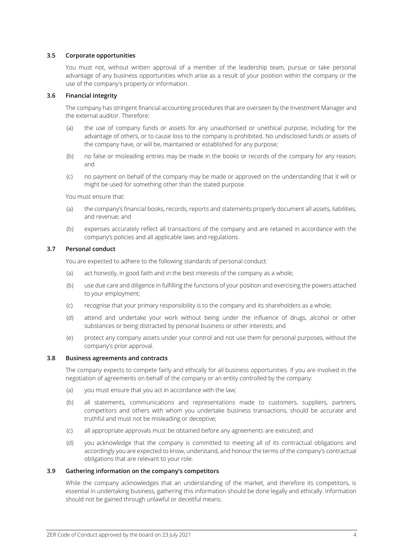#### **3.5 Corporate opportunities**

You must not, without written approval of a member of the leadership team, pursue or take personal advantage of any business opportunities which arise as a result of your position within the company or the use of the company's property or information.

#### **3.6 Financial integrity**

The company has stringent financial accounting procedures that are overseen by the Investment Manager and the external auditor. Therefore:

- (a) the use of company funds or assets for any unauthorised or unethical purpose, including for the advantage of others, or to cause loss to the company is prohibited. No undisclosed funds or assets of the company have, or will be, maintained or established for any purpose;
- (b) no false or misleading entries may be made in the books or records of the company for any reason; and
- (c) no payment on behalf of the company may be made or approved on the understanding that it will or might be used for something other than the stated purpose.

You must ensure that:

- (a) the company's financial books, records, reports and statements properly document all assets, liabilities, and revenue; and
- (b) expenses accurately reflect all transactions of the company and are retained in accordance with the company's policies and all applicable laws and regulations.

#### **3.7 Personal conduct**

You are expected to adhere to the following standards of personal conduct:

- (a) act honestly, in good faith and in the best interests of the company as a whole;
- (b) use due care and diligence in fulfilling the functions of your position and exercising the powers attached to your employment;
- (c) recognise that your primary responsibility is to the company and its shareholders as a whole;
- (d) attend and undertake your work without being under the influence of drugs, alcohol or other substances or being distracted by personal business or other interests; and
- (e) protect any company assets under your control and not use them for personal purposes, without the company's prior approval.

#### **3.8 Business agreements and contracts**

The company expects to compete fairly and ethically for all business opportunities. If you are involved in the negotiation of agreements on behalf of the company or an entity controlled by the company:

- (a) vou must ensure that you act in accordance with the law;
- (b) all statements, communications and representations made to customers, suppliers, partners, competitors and others with whom you undertake business transactions, should be accurate and truthful and must not be misleading or deceptive;
- (c) all appropriate approvals must be obtained before any agreements are executed; and
- (d) you acknowledge that the company is committed to meeting all of its contractual obligations and accordingly you are expected to know, understand, and honour the terms of the company's contractual obligations that are relevant to your role.

#### **3.9 Gathering information on the company's competitors**

While the company acknowledges that an understanding of the market, and therefore its competitors, is essential in undertaking business, gathering this information should be done legally and ethically. Information should not be gained through unlawful or deceitful means.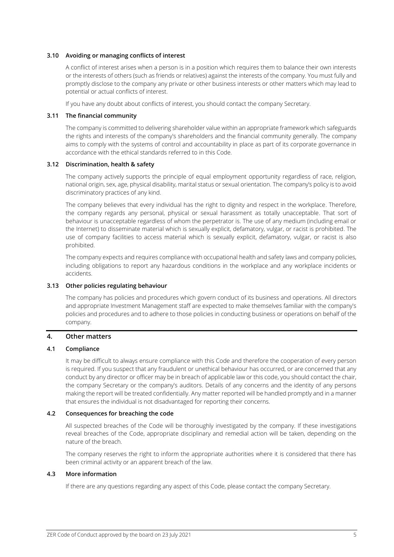#### **3.10 Avoiding or managing conflicts of interest**

A conflict of interest arises when a person is in a position which requires them to balance their own interests or the interests of others (such as friends or relatives) against the interests of the company. You must fully and promptly disclose to the company any private or other business interests or other matters which may lead to potential or actual conflicts of interest.

If you have any doubt about conflicts of interest, you should contact the company Secretary.

#### **3.11 The financial community**

The company is committed to delivering shareholder value within an appropriate framework which safeguards the rights and interests of the company's shareholders and the financial community generally. The company aims to comply with the systems of control and accountability in place as part of its corporate governance in accordance with the ethical standards referred to in this Code.

#### **3.12 Discrimination, health & safety**

The company actively supports the principle of equal employment opportunity regardless of race, religion, national origin, sex, age, physical disability, marital status or sexual orientation. The company's policy is to avoid discriminatory practices of any kind.

The company believes that every individual has the right to dignity and respect in the workplace. Therefore, the company regards any personal, physical or sexual harassment as totally unacceptable. That sort of behaviour is unacceptable regardless of whom the perpetrator is. The use of any medium (including email or the Internet) to disseminate material which is sexually explicit, defamatory, vulgar, or racist is prohibited. The use of company facilities to access material which is sexually explicit, defamatory, vulgar, or racist is also prohibited.

The company expects and requires compliance with occupational health and safety laws and company policies, including obligations to report any hazardous conditions in the workplace and any workplace incidents or accidents.

#### **3.13 Other policies regulating behaviour**

The company has policies and procedures which govern conduct of its business and operations. All directors and appropriate Investment Management staff are expected to make themselves familiar with the company's policies and procedures and to adhere to those policies in conducting business or operations on behalf of the company.

#### **4. Other matters**

#### **4.1 Compliance**

It may be difficult to always ensure compliance with this Code and therefore the cooperation of every person is required. If you suspect that any fraudulent or unethical behaviour has occurred, or are concerned that any conduct by any director or officer may be in breach of applicable law or this code, you should contact the chair, the company Secretary or the company's auditors. Details of any concerns and the identity of any persons making the report will be treated confidentially. Any matter reported will be handled promptly and in a manner that ensures the individual is not disadvantaged for reporting their concerns.

#### **4.2 Consequences for breaching the code**

All suspected breaches of the Code will be thoroughly investigated by the company. If these investigations reveal breaches of the Code, appropriate disciplinary and remedial action will be taken, depending on the nature of the breach.

The company reserves the right to inform the appropriate authorities where it is considered that there has been criminal activity or an apparent breach of the law.

#### **4.3 More information**

If there are any questions regarding any aspect of this Code, please contact the company Secretary.